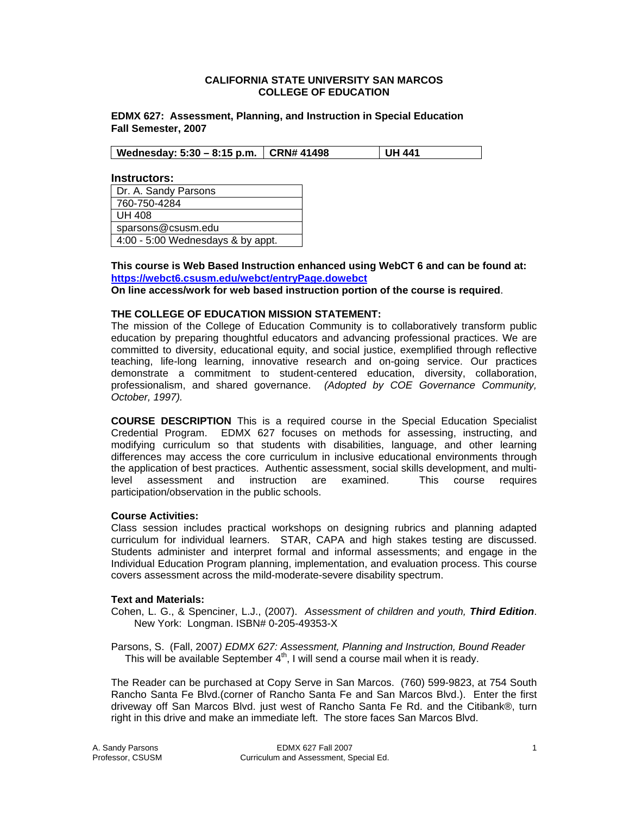#### **CALIFORNIA STATE UNIVERSITY SAN MARCOS COLLEGE OF EDUCATION**

**EDMX 627: Assessment, Planning, and Instruction in Special Education Fall Semester, 2007** 

| Wednesday: 5:30 – 8:15 p.m.   CRN# 41498 | UH 441 |
|------------------------------------------|--------|
|------------------------------------------|--------|

**Instructors:** 

| Dr. A. Sandy Parsons              |
|-----------------------------------|
| 760-750-4284                      |
| <b>UH 408</b>                     |
| sparsons@csusm.edu                |
| 4:00 - 5:00 Wednesdays & by appt. |

**This course is Web Based Instruction enhanced using WebCT 6 and can be found at: https://webct6.csusm.edu/webct/entryPage.dowebct**

**On line access/work for web based instruction portion of the course is required**.

#### **THE COLLEGE OF EDUCATION MISSION STATEMENT:**

The mission of the College of Education Community is to collaboratively transform public education by preparing thoughtful educators and advancing professional practices. We are committed to diversity, educational equity, and social justice, exemplified through reflective teaching, life-long learning, innovative research and on-going service. Our practices demonstrate a commitment to student-centered education, diversity, collaboration, professionalism, and shared governance. *(Adopted by COE Governance Community, October, 1997).* 

**COURSE DESCRIPTION** This is a required course in the Special Education Specialist Credential Program. EDMX 627 focuses on methods for assessing, instructing, and modifying curriculum so that students with disabilities, language, and other learning differences may access the core curriculum in inclusive educational environments through the application of best practices. Authentic assessment, social skills development, and multilevel assessment and instruction are examined. This course requires participation/observation in the public schools.

#### **Course Activities:**

Class session includes practical workshops on designing rubrics and planning adapted curriculum for individual learners. STAR, CAPA and high stakes testing are discussed. Students administer and interpret formal and informal assessments; and engage in the Individual Education Program planning, implementation, and evaluation process. This course covers assessment across the mild-moderate-severe disability spectrum.

#### **Text and Materials:**

Cohen, L. G., & Spenciner, L.J., (2007). *Assessment of children and youth, Third Edition*. New York: Longman. ISBN# 0-205-49353-X

Parsons, S. (Fall, 2007*) EDMX 627: Assessment, Planning and Instruction, Bound Reader*  This will be available September  $4<sup>th</sup>$ , I will send a course mail when it is ready.

The Reader can be purchased at Copy Serve in San Marcos. (760) 599-9823, at 754 South Rancho Santa Fe Blvd.(corner of Rancho Santa Fe and San Marcos Blvd.). Enter the first driveway off San Marcos Blvd. just west of Rancho Santa Fe Rd. and the Citibank®, turn right in this drive and make an immediate left. The store faces San Marcos Blvd.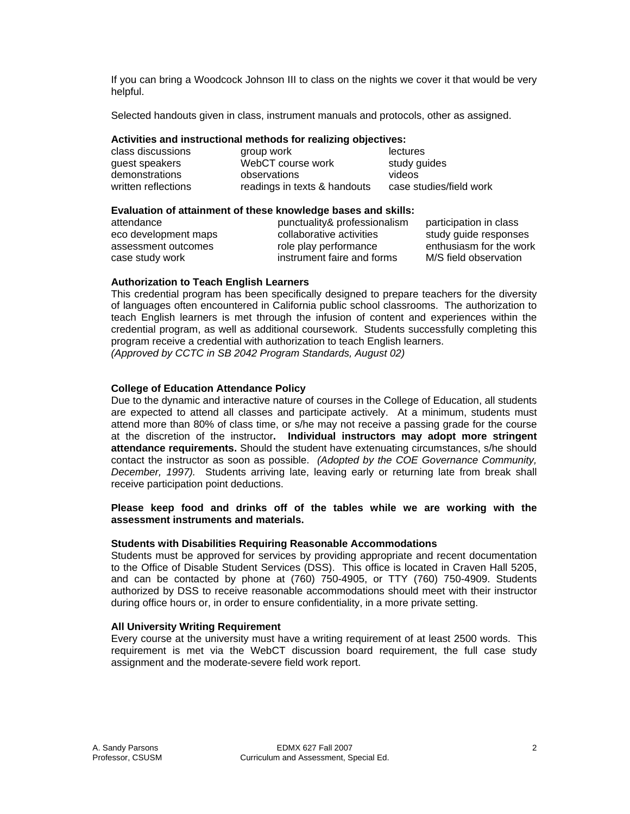If you can bring a Woodcock Johnson III to class on the nights we cover it that would be very helpful.

Selected handouts given in class, instrument manuals and protocols, other as assigned.

#### **Activities and instructional methods for realizing objectives:**

| class discussions   | group work                   | lectures                |
|---------------------|------------------------------|-------------------------|
| guest speakers      | WebCT course work            | study guides            |
| demonstrations      | observations                 | videos                  |
| written reflections | readings in texts & handouts | case studies/field work |

#### **Evaluation of attainment of these knowledge bases and skills:**

attendance punctuality& professionalism participation in class eco development maps ecollaborative activities study guide responses assessment outcomes role play performance enthusiasm for the work case study work instrument faire and forms M/S field observation

#### **Authorization to Teach English Learners**

This credential program has been specifically designed to prepare teachers for the diversity of languages often encountered in California public school classrooms. The authorization to teach English learners is met through the infusion of content and experiences within the credential program, as well as additional coursework. Students successfully completing this program receive a credential with authorization to teach English learners. *(Approved by CCTC in SB 2042 Program Standards, August 02)*

### **College of Education Attendance Policy**

Due to the dynamic and interactive nature of courses in the College of Education, all students are expected to attend all classes and participate actively. At a minimum, students must attend more than 80% of class time, or s/he may not receive a passing grade for the course at the discretion of the instructor**. Individual instructors may adopt more stringent attendance requirements.** Should the student have extenuating circumstances, s/he should contact the instructor as soon as possible. *(Adopted by the COE Governance Community, December, 1997).* Students arriving late, leaving early or returning late from break shall receive participation point deductions.

#### **Please keep food and drinks off of the tables while we are working with the assessment instruments and materials.**

#### **Students with Disabilities Requiring Reasonable Accommodations**

Students must be approved for services by providing appropriate and recent documentation to the Office of Disable Student Services (DSS). This office is located in Craven Hall 5205, and can be contacted by phone at (760) 750-4905, or TTY (760) 750-4909. Students authorized by DSS to receive reasonable accommodations should meet with their instructor during office hours or, in order to ensure confidentiality, in a more private setting.

#### **All University Writing Requirement**

Every course at the university must have a writing requirement of at least 2500 words. This requirement is met via the WebCT discussion board requirement, the full case study assignment and the moderate-severe field work report.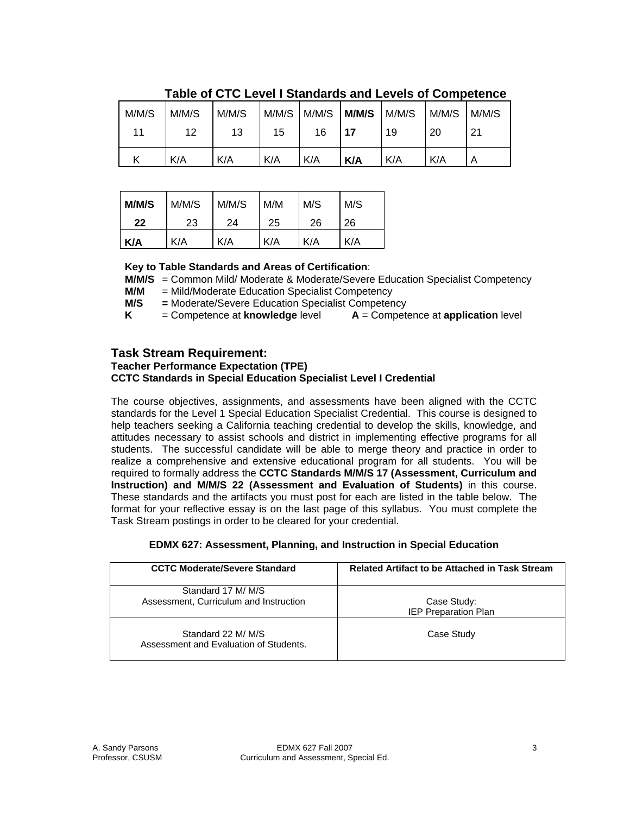|       |       | TAMIV VI V I V EVTVI I VRAHAGIAV GHA EVTVIV VI VVIHINVRVIIVV |       |       |       |       |       |       |
|-------|-------|--------------------------------------------------------------|-------|-------|-------|-------|-------|-------|
| M/M/S | M/M/S | M/M/S                                                        | M/M/S | M/M/S | M/M/S | M/M/S | M/M/S | M/M/S |
| 11    | 12    | 13                                                           | 15    | 16    | 17    | 19    | 20    | 21    |
|       | K/A   | K/A                                                          | K/A   | K/A   | K/A   | K/A   | K/A   | Α     |

## **Table of CTC Level I Standards and Levels of Competence**

| M/M/S | M/M/S | M/M/S | M/M | M/S | M/S |
|-------|-------|-------|-----|-----|-----|
| 22    | 23    | 24    | 25  | 26  | 26  |
| K/A   | K/A   | K/A   | K/A | K/A | K/A |

## **Key to Table Standards and Areas of Certification**:

**M/M/S** = Common Mild/ Moderate & Moderate/Severe Education Specialist Competency

**M/M** = Mild/Moderate Education Specialist Competency

**M/S =** Moderate/Severe Education Specialist Competency

**K**  $=$  Competence at **knowledge** level  $\bf{A} =$  Competence at **application** level

## **Task Stream Requirement:**

## **Teacher Performance Expectation (TPE) CCTC Standards in Special Education Specialist Level I Credential**

The course objectives, assignments, and assessments have been aligned with the CCTC standards for the Level 1 Special Education Specialist Credential. This course is designed to help teachers seeking a California teaching credential to develop the skills, knowledge, and attitudes necessary to assist schools and district in implementing effective programs for all students. The successful candidate will be able to merge theory and practice in order to realize a comprehensive and extensive educational program for all students. You will be required to formally address the **CCTC Standards M/M/S 17 (Assessment, Curriculum and Instruction) and M/M/S 22 (Assessment and Evaluation of Students)** in this course. These standards and the artifacts you must post for each are listed in the table below. The format for your reflective essay is on the last page of this syllabus. You must complete the Task Stream postings in order to be cleared for your credential.

#### **EDMX 627: Assessment, Planning, and Instruction in Special Education**

| <b>CCTC Moderate/Severe Standard</b>                         | <b>Related Artifact to be Attached in Task Stream</b> |
|--------------------------------------------------------------|-------------------------------------------------------|
| Standard 17 M/M/S<br>Assessment, Curriculum and Instruction  | Case Study:<br><b>IEP Preparation Plan</b>            |
| Standard 22 M/ M/S<br>Assessment and Evaluation of Students. | Case Study                                            |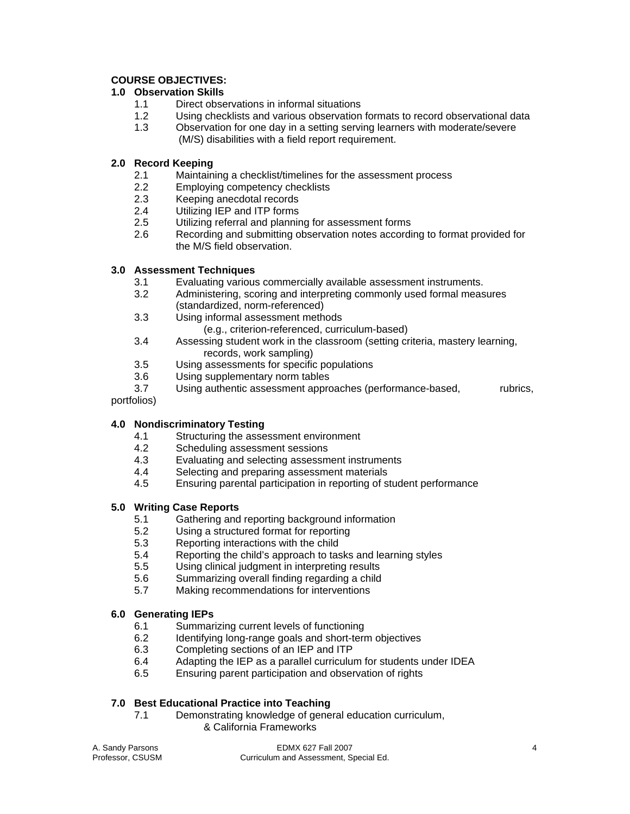## **COURSE OBJECTIVES:**

## **1.0 Observation Skills**

- 1.1 Direct observations in informal situations
- 1.2 Using checklists and various observation formats to record observational data
- 1.3 Observation for one day in a setting serving learners with moderate/severe (M/S) disabilities with a field report requirement.

## **2.0 Record Keeping**

- 2.1 Maintaining a checklist/timelines for the assessment process
- 2.2 Employing competency checklists
- 2.3 Keeping anecdotal records<br>2.4 Utilizing IEP and ITP forms
- Utilizing IEP and ITP forms
- 2.5 Utilizing referral and planning for assessment forms
- 2.6 Recording and submitting observation notes according to format provided for the M/S field observation.

## **3.0 Assessment Techniques**

- 3.1 Evaluating various commercially available assessment instruments.
- 3.2 Administering, scoring and interpreting commonly used formal measures (standardized, norm-referenced)
- 3.3 Using informal assessment methods
	- (e.g., criterion-referenced, curriculum-based)
- 3.4 Assessing student work in the classroom (setting criteria, mastery learning, records, work sampling)
- 3.5 Using assessments for specific populations
- 3.6 Using supplementary norm tables
- 3.7 Using authentic assessment approaches (performance-based, rubrics,

## portfolios)

## **4.0 Nondiscriminatory Testing**

- 4.1 Structuring the assessment environment
- 4.2 Scheduling assessment sessions
- 4.3 Evaluating and selecting assessment instruments
- 4.4 Selecting and preparing assessment materials
- 4.5 Ensuring parental participation in reporting of student performance

## **5.0 Writing Case Reports**

- 5.1 Gathering and reporting background information
- 5.2 Using a structured format for reporting
- 5.3 Reporting interactions with the child
- 5.4 Reporting the child's approach to tasks and learning styles
- 5.5 Using clinical judgment in interpreting results
- 5.6 Summarizing overall finding regarding a child
- 5.7 Making recommendations for interventions

#### **6.0 Generating IEPs**

- 6.1 Summarizing current levels of functioning
- 6.2 Identifying long-range goals and short-term objectives
- 6.3 Completing sections of an IEP and ITP
- 6.4 Adapting the IEP as a parallel curriculum for students under IDEA
- 6.5 Ensuring parent participation and observation of rights

## **7.0 Best Educational Practice into Teaching**

 7.1 Demonstrating knowledge of general education curriculum, & California Frameworks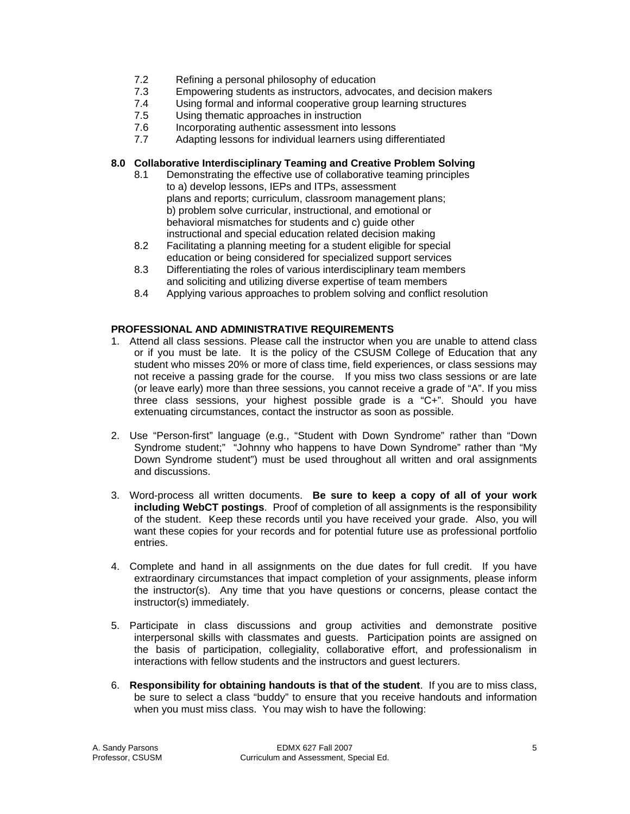- 7.2 Refining a personal philosophy of education
- 7.3 Empowering students as instructors, advocates, and decision makers
- 7.4 Using formal and informal cooperative group learning structures
- 7.5 Using thematic approaches in instruction
- 7.6 Incorporating authentic assessment into lessons
- 7.7 Adapting lessons for individual learners using differentiated

## **8.0 Collaborative Interdisciplinary Teaming and Creative Problem Solving**

- 8.1 Demonstrating the effective use of collaborative teaming principles to a) develop lessons, IEPs and ITPs, assessment plans and reports; curriculum, classroom management plans; b) problem solve curricular, instructional, and emotional or behavioral mismatches for students and c) quide other instructional and special education related decision making
- 8.2 Facilitating a planning meeting for a student eligible for special education or being considered for specialized support services
- 8.3 Differentiating the roles of various interdisciplinary team members and soliciting and utilizing diverse expertise of team members
- 8.4 Applying various approaches to problem solving and conflict resolution

## **PROFESSIONAL AND ADMINISTRATIVE REQUIREMENTS**

- 1. Attend all class sessions. Please call the instructor when you are unable to attend class or if you must be late. It is the policy of the CSUSM College of Education that any student who misses 20% or more of class time, field experiences, or class sessions may not receive a passing grade for the course. If you miss two class sessions or are late (or leave early) more than three sessions, you cannot receive a grade of "A". If you miss three class sessions, your highest possible grade is a "C+". Should you have extenuating circumstances, contact the instructor as soon as possible.
- 2. Use "Person-first" language (e.g., "Student with Down Syndrome" rather than "Down Syndrome student;" "Johnny who happens to have Down Syndrome" rather than "My Down Syndrome student") must be used throughout all written and oral assignments and discussions.
- 3. Word-process all written documents. **Be sure to keep a copy of all of your work including WebCT postings**. Proof of completion of all assignments is the responsibility of the student. Keep these records until you have received your grade. Also, you will want these copies for your records and for potential future use as professional portfolio entries.
- 4. Complete and hand in all assignments on the due dates for full credit. If you have extraordinary circumstances that impact completion of your assignments, please inform the instructor(s). Any time that you have questions or concerns, please contact the instructor(s) immediately.
- 5. Participate in class discussions and group activities and demonstrate positive interpersonal skills with classmates and guests. Participation points are assigned on the basis of participation, collegiality, collaborative effort, and professionalism in interactions with fellow students and the instructors and guest lecturers.
- 6. **Responsibility for obtaining handouts is that of the student**. If you are to miss class, be sure to select a class "buddy" to ensure that you receive handouts and information when you must miss class. You may wish to have the following: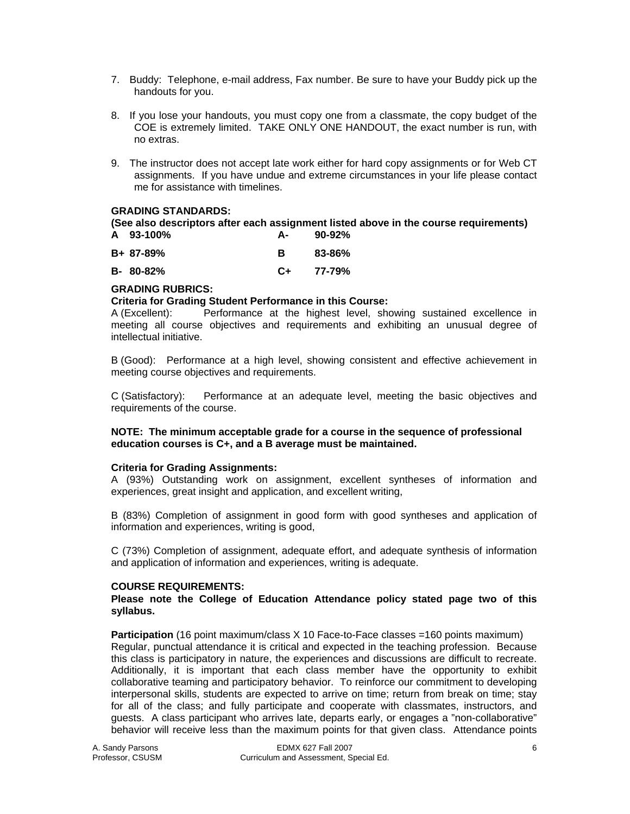- 7. Buddy: Telephone, e-mail address, Fax number. Be sure to have your Buddy pick up the handouts for you.
- 8. If you lose your handouts, you must copy one from a classmate, the copy budget of the COE is extremely limited. TAKE ONLY ONE HANDOUT, the exact number is run, with no extras.
- 9. The instructor does not accept late work either for hard copy assignments or for Web CT assignments. If you have undue and extreme circumstances in your life please contact me for assistance with timelines.

## **GRADING STANDARDS:**

**(See also descriptors after each assignment listed above in the course requirements) A 93-100% A- 90-92%** 

| B+ 87-89%      |      | 83-86% |
|----------------|------|--------|
| $B - 80 - 82%$ | $C+$ | 77-79% |

## **GRADING RUBRICS:**

#### **Criteria for Grading Student Performance in this Course:**

A (Excellent): Performance at the highest level, showing sustained excellence in meeting all course objectives and requirements and exhibiting an unusual degree of intellectual initiative.

B (Good): Performance at a high level, showing consistent and effective achievement in meeting course objectives and requirements.

C (Satisfactory): Performance at an adequate level, meeting the basic objectives and requirements of the course.

#### **NOTE: The minimum acceptable grade for a course in the sequence of professional education courses is C+, and a B average must be maintained.**

#### **Criteria for Grading Assignments:**

A (93%) Outstanding work on assignment, excellent syntheses of information and experiences, great insight and application, and excellent writing,

B (83%) Completion of assignment in good form with good syntheses and application of information and experiences, writing is good,

C (73%) Completion of assignment, adequate effort, and adequate synthesis of information and application of information and experiences, writing is adequate.

#### **COURSE REQUIREMENTS:**

**Please note the College of Education Attendance policy stated page two of this syllabus.** 

**Participation** (16 point maximum/class X 10 Face-to-Face classes =160 points maximum) Regular, punctual attendance it is critical and expected in the teaching profession. Because this class is participatory in nature, the experiences and discussions are difficult to recreate. Additionally, it is important that each class member have the opportunity to exhibit collaborative teaming and participatory behavior. To reinforce our commitment to developing interpersonal skills, students are expected to arrive on time; return from break on time; stay for all of the class; and fully participate and cooperate with classmates, instructors, and guests. A class participant who arrives late, departs early, or engages a "non-collaborative" behavior will receive less than the maximum points for that given class. Attendance points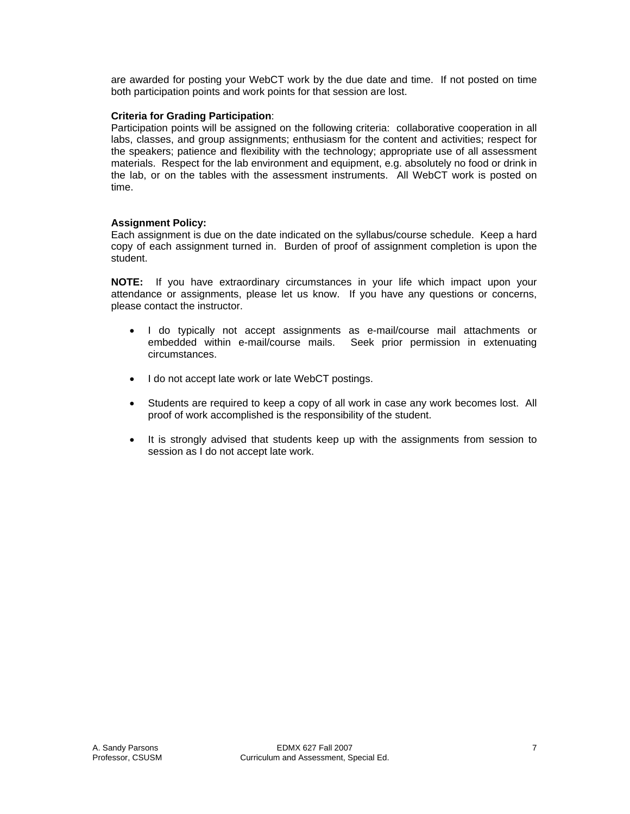are awarded for posting your WebCT work by the due date and time. If not posted on time both participation points and work points for that session are lost.

## **Criteria for Grading Participation**:

Participation points will be assigned on the following criteria: collaborative cooperation in all labs, classes, and group assignments; enthusiasm for the content and activities; respect for the speakers; patience and flexibility with the technology; appropriate use of all assessment materials. Respect for the lab environment and equipment, e.g. absolutely no food or drink in the lab, or on the tables with the assessment instruments. All WebCT work is posted on time.

## **Assignment Policy:**

Each assignment is due on the date indicated on the syllabus/course schedule. Keep a hard copy of each assignment turned in. Burden of proof of assignment completion is upon the student.

**NOTE:** If you have extraordinary circumstances in your life which impact upon your attendance or assignments, please let us know. If you have any questions or concerns, please contact the instructor.

- I do typically not accept assignments as e-mail/course mail attachments or embedded within e-mail/course mails. Seek prior permission in extenuating circumstances.
- I do not accept late work or late WebCT postings.
- Students are required to keep a copy of all work in case any work becomes lost. All proof of work accomplished is the responsibility of the student.
- It is strongly advised that students keep up with the assignments from session to session as I do not accept late work.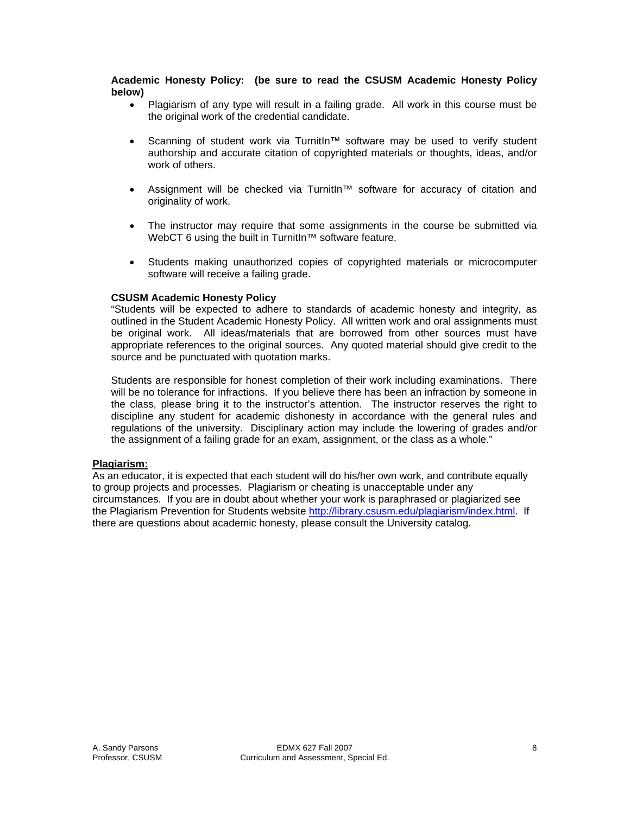**Academic Honesty Policy: (be sure to read the CSUSM Academic Honesty Policy below)**

- Plagiarism of any type will result in a failing grade. All work in this course must be the original work of the credential candidate.
- Scanning of student work via TurnitIn™ software may be used to verify student authorship and accurate citation of copyrighted materials or thoughts, ideas, and/or work of others.
- Assignment will be checked via TurnitIn™ software for accuracy of citation and originality of work.
- The instructor may require that some assignments in the course be submitted via WebCT 6 using the built in TurnitIn™ software feature.
- Students making unauthorized copies of copyrighted materials or microcomputer software will receive a failing grade.

#### **CSUSM Academic Honesty Policy**

"Students will be expected to adhere to standards of academic honesty and integrity, as outlined in the Student Academic Honesty Policy. All written work and oral assignments must be original work. All ideas/materials that are borrowed from other sources must have appropriate references to the original sources. Any quoted material should give credit to the source and be punctuated with quotation marks.

Students are responsible for honest completion of their work including examinations. There will be no tolerance for infractions. If you believe there has been an infraction by someone in the class, please bring it to the instructor's attention. The instructor reserves the right to discipline any student for academic dishonesty in accordance with the general rules and regulations of the university. Disciplinary action may include the lowering of grades and/or the assignment of a failing grade for an exam, assignment, or the class as a whole."

#### **Plagiarism:**

As an educator, it is expected that each student will do his/her own work, and contribute equally to group projects and processes. Plagiarism or cheating is unacceptable under any circumstances. If you are in doubt about whether your work is paraphrased or plagiarized see the Plagiarism Prevention for Students website http://library.csusm.edu/plagiarism/index.html. If there are questions about academic honesty, please consult the University catalog.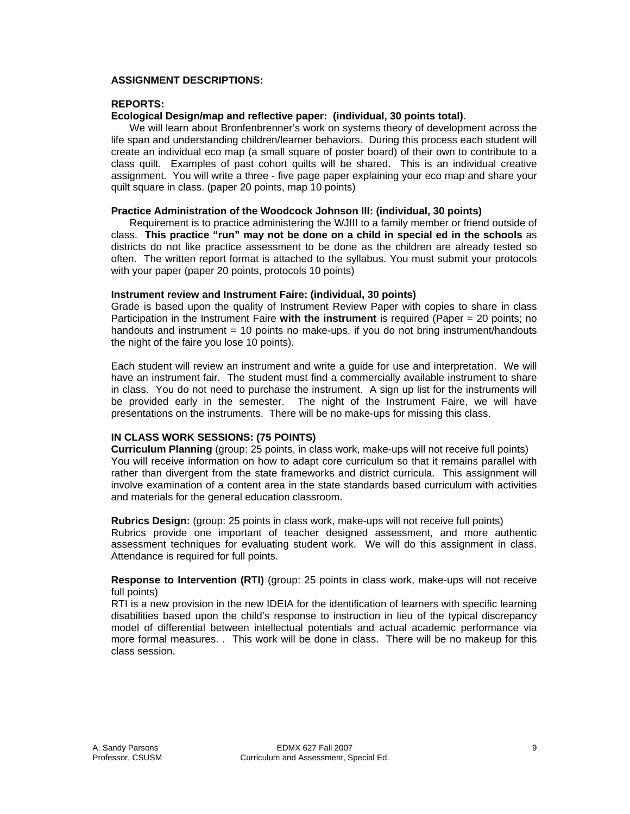## **ASSIGNMENT DESCRIPTIONS:**

### **REPORTS:**

### **Ecological Design/map and reflective paper: (individual, 30 points total)**.

 We will learn about Bronfenbrenner's work on systems theory of development across the life span and understanding children/learner behaviors. During this process each student will create an individual eco map (a small square of poster board) of their own to contribute to a class quilt. Examples of past cohort quilts will be shared. This is an individual creative assignment. You will write a three - five page paper explaining your eco map and share your quilt square in class. (paper 20 points, map 10 points)

#### **Practice Administration of the Woodcock Johnson III: (individual, 30 points)**

 Requirement is to practice administering the WJIII to a family member or friend outside of class. **This practice "run" may not be done on a child in special ed in the schools** as districts do not like practice assessment to be done as the children are already tested so often. The written report format is attached to the syllabus. You must submit your protocols with your paper (paper 20 points, protocols 10 points)

#### **Instrument review and Instrument Faire: (individual, 30 points)**

Grade is based upon the quality of Instrument Review Paper with copies to share in class Participation in the Instrument Faire **with the instrument** is required (Paper = 20 points; no handouts and instrument = 10 points no make-ups, if you do not bring instrument/handouts the night of the faire you lose 10 points).

Each student will review an instrument and write a guide for use and interpretation. We will have an instrument fair. The student must find a commercially available instrument to share in class. You do not need to purchase the instrument. A sign up list for the instruments will be provided early in the semester. The night of the Instrument Faire, we will have presentations on the instruments. There will be no make-ups for missing this class.

#### **IN CLASS WORK SESSIONS: (75 POINTS)**

**Curriculum Planning** (group: 25 points, in class work, make-ups will not receive full points) You will receive information on how to adapt core curriculum so that it remains parallel with rather than divergent from the state frameworks and district curricula. This assignment will involve examination of a content area in the state standards based curriculum with activities and materials for the general education classroom.

**Rubrics Design:** (group: 25 points in class work, make-ups will not receive full points) Rubrics provide one important of teacher designed assessment, and more authentic assessment techniques for evaluating student work. We will do this assignment in class. Attendance is required for full points.

#### **Response to Intervention (RTI)** (group: 25 points in class work, make-ups will not receive full points)

RTI is a new provision in the new IDEIA for the identification of learners with specific learning disabilities based upon the child's response to instruction in lieu of the typical discrepancy model of differential between intellectual potentials and actual academic performance via more formal measures. . This work will be done in class. There will be no makeup for this class session.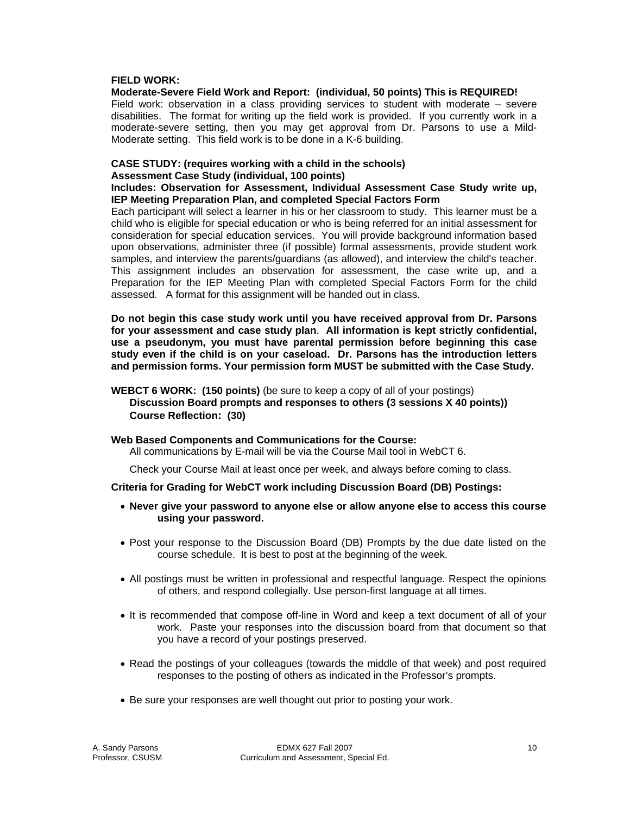#### **FIELD WORK:**

#### **Moderate-Severe Field Work and Report: (individual, 50 points) This is REQUIRED!**

Field work: observation in a class providing services to student with moderate – severe disabilities. The format for writing up the field work is provided. If you currently work in a moderate-severe setting, then you may get approval from Dr. Parsons to use a Mild-Moderate setting. This field work is to be done in a K-6 building.

# **CASE STUDY: (requires working with a child in the schools)**

## **Assessment Case Study (individual, 100 points)**

**Includes: Observation for Assessment, Individual Assessment Case Study write up, IEP Meeting Preparation Plan, and completed Special Factors Form** 

Each participant will select a learner in his or her classroom to study. This learner must be a child who is eligible for special education or who is being referred for an initial assessment for consideration for special education services. You will provide background information based upon observations, administer three (if possible) formal assessments, provide student work samples, and interview the parents/guardians (as allowed), and interview the child's teacher. This assignment includes an observation for assessment, the case write up, and a Preparation for the IEP Meeting Plan with completed Special Factors Form for the child assessed. A format for this assignment will be handed out in class.

**Do not begin this case study work until you have received approval from Dr. Parsons for your assessment and case study plan**. **All information is kept strictly confidential, use a pseudonym, you must have parental permission before beginning this case study even if the child is on your caseload. Dr. Parsons has the introduction letters and permission forms. Your permission form MUST be submitted with the Case Study.** 

**WEBCT 6 WORK: (150 points)** (be sure to keep a copy of all of your postings)  **Discussion Board prompts and responses to others (3 sessions X 40 points)) Course Reflection: (30)** 

#### **Web Based Components and Communications for the Course:**

All communications by E-mail will be via the Course Mail tool in WebCT 6.

Check your Course Mail at least once per week, and always before coming to class.

#### **Criteria for Grading for WebCT work including Discussion Board (DB) Postings:**

- **Never give your password to anyone else or allow anyone else to access this course using your password.**
- Post your response to the Discussion Board (DB) Prompts by the due date listed on the course schedule. It is best to post at the beginning of the week.
- All postings must be written in professional and respectful language. Respect the opinions of others, and respond collegially. Use person-first language at all times.
- It is recommended that compose off-line in Word and keep a text document of all of your work. Paste your responses into the discussion board from that document so that you have a record of your postings preserved.
- Read the postings of your colleagues (towards the middle of that week) and post required responses to the posting of others as indicated in the Professor's prompts.
- Be sure your responses are well thought out prior to posting your work.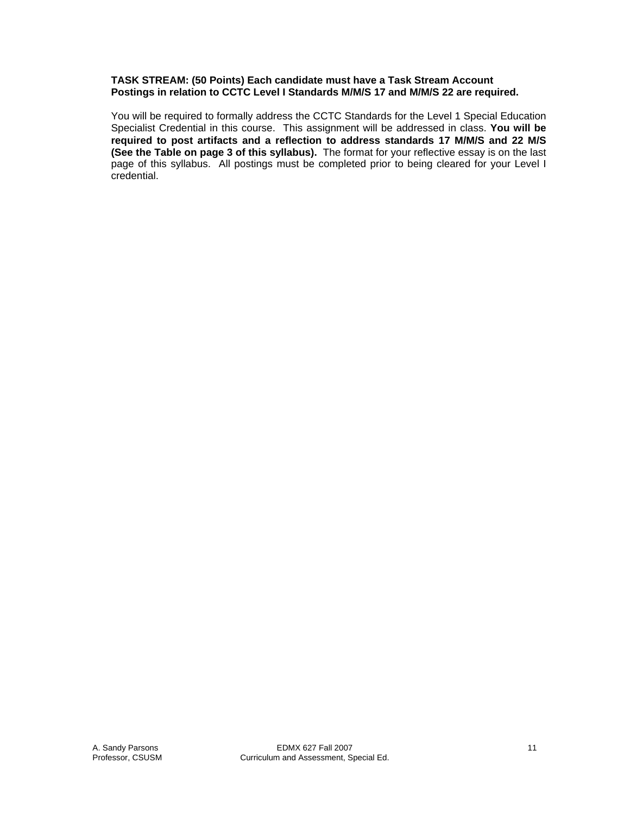#### **TASK STREAM: (50 Points) Each candidate must have a Task Stream Account Postings in relation to CCTC Level I Standards M/M/S 17 and M/M/S 22 are required.**

You will be required to formally address the CCTC Standards for the Level 1 Special Education Specialist Credential in this course. This assignment will be addressed in class. **You will be required to post artifacts and a reflection to address standards 17 M/M/S and 22 M/S (See the Table on page 3 of this syllabus).** The format for your reflective essay is on the last page of this syllabus. All postings must be completed prior to being cleared for your Level I credential.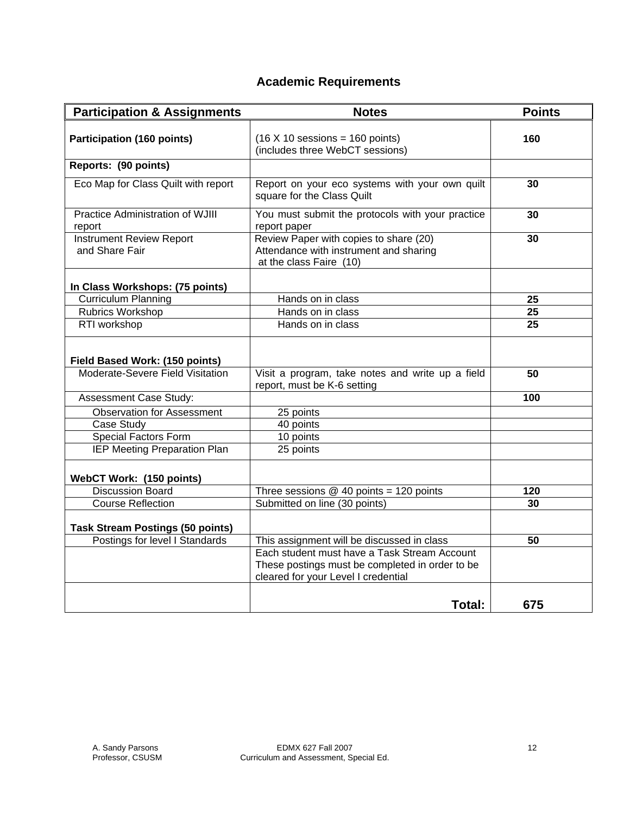# **Academic Requirements**

| <b>Participation &amp; Assignments</b>                             | <b>Notes</b>                                                                                                                           | <b>Points</b>   |
|--------------------------------------------------------------------|----------------------------------------------------------------------------------------------------------------------------------------|-----------------|
| <b>Participation (160 points)</b>                                  | $(16 \times 10$ sessions = 160 points)<br>(includes three WebCT sessions)                                                              | 160             |
| Reports: (90 points)                                               |                                                                                                                                        |                 |
| Eco Map for Class Quilt with report                                | Report on your eco systems with your own quilt<br>square for the Class Quilt                                                           | 30              |
| Practice Administration of WJIII<br>report                         | You must submit the protocols with your practice<br>report paper                                                                       | 30              |
| <b>Instrument Review Report</b><br>and Share Fair                  | Review Paper with copies to share (20)<br>Attendance with instrument and sharing<br>at the class Faire (10)                            | 30              |
| In Class Workshops: (75 points)                                    |                                                                                                                                        |                 |
| <b>Curriculum Planning</b>                                         | Hands on in class                                                                                                                      | 25              |
| <b>Rubrics Workshop</b>                                            | Hands on in class                                                                                                                      | $\overline{25}$ |
| RTI workshop                                                       | Hands on in class                                                                                                                      | 25              |
| Field Based Work: (150 points)<br>Moderate-Severe Field Visitation | Visit a program, take notes and write up a field                                                                                       | 50              |
|                                                                    | report, must be K-6 setting                                                                                                            |                 |
| Assessment Case Study:                                             |                                                                                                                                        | 100             |
| <b>Observation for Assessment</b>                                  | 25 points                                                                                                                              |                 |
| Case Study                                                         | 40 points                                                                                                                              |                 |
| <b>Special Factors Form</b>                                        | 10 points                                                                                                                              |                 |
| IEP Meeting Preparation Plan                                       | 25 points                                                                                                                              |                 |
| WebCT Work: (150 points)                                           |                                                                                                                                        |                 |
| <b>Discussion Board</b>                                            | Three sessions $@$ 40 points = 120 points                                                                                              | 120             |
| <b>Course Reflection</b>                                           | Submitted on line (30 points)                                                                                                          | 30              |
| <b>Task Stream Postings (50 points)</b>                            |                                                                                                                                        |                 |
| Postings for level I Standards                                     | This assignment will be discussed in class                                                                                             | 50              |
|                                                                    | Each student must have a Task Stream Account<br>These postings must be completed in order to be<br>cleared for your Level I credential |                 |
|                                                                    | Total:                                                                                                                                 | 675             |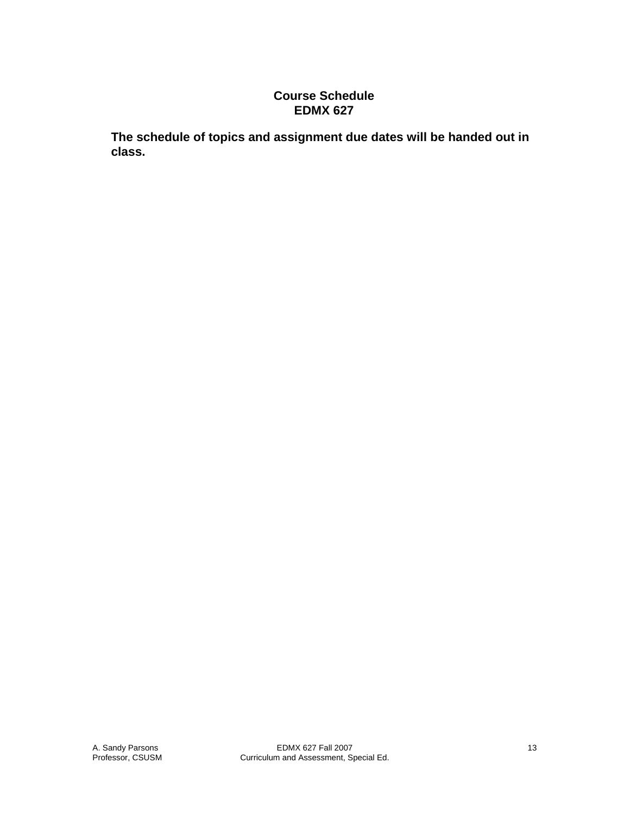## **Course Schedule EDMX 627**

**The schedule of topics and assignment due dates will be handed out in class.**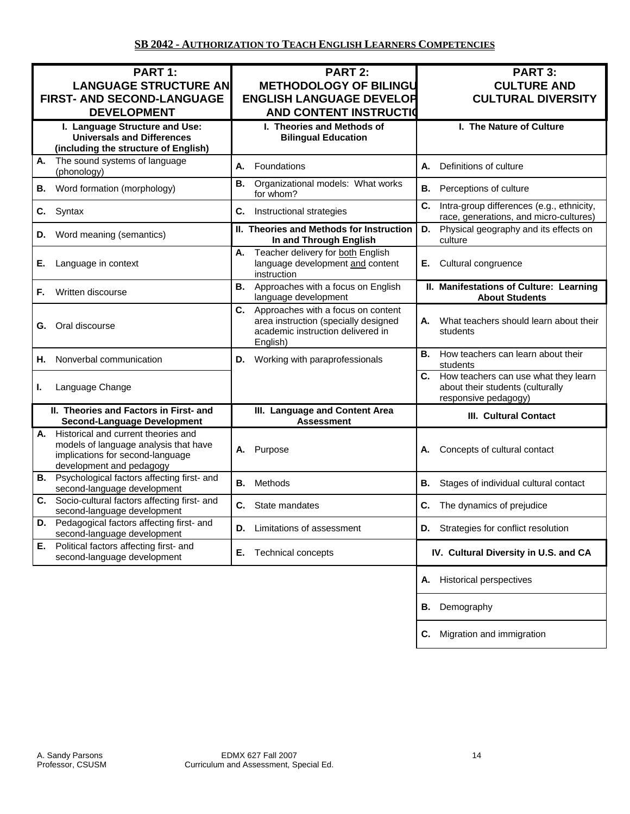| PART 1:<br><b>LANGUAGE STRUCTURE AN</b><br><b>FIRST- AND SECOND-LANGUAGE</b><br><b>DEVELOPMENT</b>                                                 | <b>PART 2:</b><br><b>METHODOLOGY OF BILINGU</b><br><b>ENGLISH LANGUAGE DEVELOR</b><br><b>AND CONTENT INSTRUCTION</b>              | PART 3:<br><b>CULTURE AND</b><br><b>CULTURAL DIVERSITY</b>                                             |
|----------------------------------------------------------------------------------------------------------------------------------------------------|-----------------------------------------------------------------------------------------------------------------------------------|--------------------------------------------------------------------------------------------------------|
| I. Language Structure and Use:<br><b>Universals and Differences</b><br>(including the structure of English)                                        | I. Theories and Methods of<br><b>Bilingual Education</b>                                                                          | I. The Nature of Culture                                                                               |
| The sound systems of language<br>Α.<br>(phonology)                                                                                                 | Foundations<br>А.                                                                                                                 | Definitions of culture<br>А.                                                                           |
| Word formation (morphology)<br>В.                                                                                                                  | Organizational models: What works<br>В.<br>for whom?                                                                              | <b>B.</b><br>Perceptions of culture                                                                    |
| C.<br>Syntax                                                                                                                                       | C.<br>Instructional strategies                                                                                                    | C.<br>Intra-group differences (e.g., ethnicity,<br>race, generations, and micro-cultures)              |
| D.<br>Word meaning (semantics)                                                                                                                     | II. Theories and Methods for Instruction<br>In and Through English                                                                | Physical geography and its effects on<br>D.<br>culture                                                 |
| Е.<br>Language in context                                                                                                                          | Teacher delivery for both English<br>А.<br>language development and content<br>instruction                                        | Е.<br>Cultural congruence                                                                              |
| Written discourse<br>F.                                                                                                                            | Approaches with a focus on English<br>В.<br>language development                                                                  | II. Manifestations of Culture: Learning<br><b>About Students</b>                                       |
| <b>G.</b> Oral discourse                                                                                                                           | Approaches with a focus on content<br>C.<br>area instruction (specially designed<br>academic instruction delivered in<br>English) | What teachers should learn about their<br>А.<br>students                                               |
| Nonverbal communication<br>Η.                                                                                                                      | Working with paraprofessionals<br>D.                                                                                              | How teachers can learn about their<br>В.<br>students                                                   |
| ı.<br>Language Change                                                                                                                              |                                                                                                                                   | C.<br>How teachers can use what they learn<br>about their students (culturally<br>responsive pedagogy) |
| II. Theories and Factors in First- and<br><b>Second-Language Development</b>                                                                       | III. Language and Content Area<br><b>Assessment</b>                                                                               | <b>III. Cultural Contact</b>                                                                           |
| Historical and current theories and<br>А.<br>models of language analysis that have<br>implications for second-language<br>development and pedagogy | Purpose<br>А.                                                                                                                     | Concepts of cultural contact<br>А.                                                                     |
| Psychological factors affecting first- and<br>В.<br>second-language development                                                                    | Methods<br>В.                                                                                                                     | В.<br>Stages of individual cultural contact                                                            |
| Socio-cultural factors affecting first- and<br>С.<br>second-language development                                                                   | State mandates<br>C.                                                                                                              | C.<br>The dynamics of prejudice                                                                        |
| Pedagogical factors affecting first- and<br>D.<br>second-language development                                                                      | Limitations of assessment<br>D.                                                                                                   | <b>D.</b> Strategies for conflict resolution                                                           |
| Political factors affecting first- and<br>Е.<br>second-language development                                                                        | Technical concepts<br>Е.                                                                                                          | IV. Cultural Diversity in U.S. and CA                                                                  |
|                                                                                                                                                    |                                                                                                                                   | <b>Historical perspectives</b><br>А.                                                                   |
|                                                                                                                                                    |                                                                                                                                   | Demography<br>В.                                                                                       |
|                                                                                                                                                    |                                                                                                                                   | Migration and immigration<br>C.                                                                        |